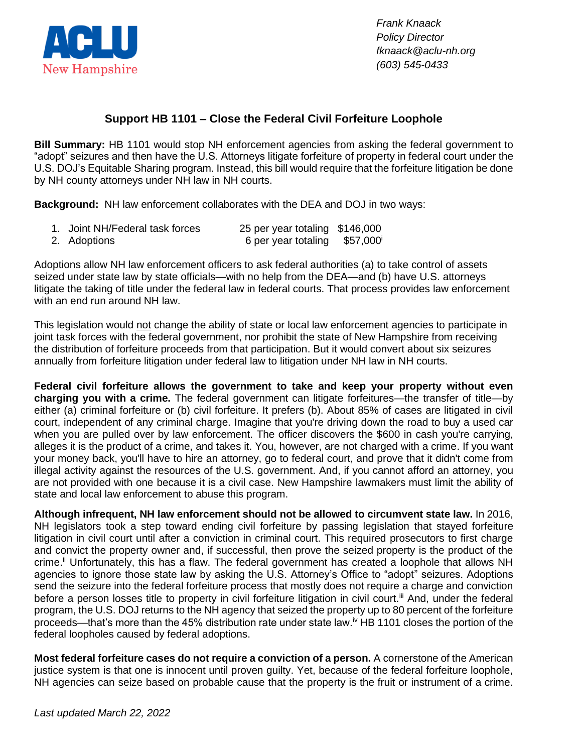

*Frank Knaack Policy Director fknaack@aclu-nh.org (603) 545-0433*

## **Support HB 1101 – Close the Federal Civil Forfeiture Loophole**

**Bill Summary:** HB 1101 would stop NH enforcement agencies from asking the federal government to "adopt" seizures and then have the U.S. Attorneys litigate forfeiture of property in federal court under the U.S. DOJ's Equitable Sharing program. Instead, this bill would require that the forfeiture litigation be done by NH county attorneys under NH law in NH courts.

**Background:** NH law enforcement collaborates with the DEA and DOJ in two ways:

1. Joint NH/Federal task forces 25 per year totaling \$146,000 2. Adoptions 6 per year totaling \$57,000<sup>i</sup>

Adoptions allow NH law enforcement officers to ask federal authorities (a) to take control of assets seized under state law by state officials—with no help from the DEA—and (b) have U.S. attorneys litigate the taking of title under the federal law in federal courts. That process provides law enforcement with an end run around NH law.

This legislation would not change the ability of state or local law enforcement agencies to participate in joint task forces with the federal government, nor prohibit the state of New Hampshire from receiving the distribution of forfeiture proceeds from that participation. But it would convert about six seizures annually from forfeiture litigation under federal law to litigation under NH law in NH courts.

**Federal civil forfeiture allows the government to take and keep your property without even charging you with a crime.** The federal government can litigate forfeitures—the transfer of title—by either (a) criminal forfeiture or (b) civil forfeiture. It prefers (b). About 85% of cases are litigated in civil court, independent of any criminal charge. Imagine that you're driving down the road to buy a used car when you are pulled over by law enforcement. The officer discovers the \$600 in cash you're carrying, alleges it is the product of a crime, and takes it. You, however, are not charged with a crime. If you want your money back, you'll have to hire an attorney, go to federal court, and prove that it didn't come from illegal activity against the resources of the U.S. government. And, if you cannot afford an attorney, you are not provided with one because it is a civil case. New Hampshire lawmakers must limit the ability of state and local law enforcement to abuse this program.

**Although infrequent, NH law enforcement should not be allowed to circumvent state law.** In 2016, NH legislators took a step toward ending civil forfeiture by passing legislation that stayed forfeiture litigation in civil court until after a conviction in criminal court. This required prosecutors to first charge and convict the property owner and, if successful, then prove the seized property is the product of the crime.<sup>ii</sup> Unfortunately, this has a flaw. The federal government has created a loophole that allows NH agencies to ignore those state law by asking the U.S. Attorney's Office to "adopt" seizures. Adoptions send the seizure into the federal forfeiture process that mostly does not require a charge and conviction before a person losses title to property in civil forfeiture litigation in civil court.<sup>ii</sup> And, under the federal program, the U.S. DOJ returns to the NH agency that seized the property up to 80 percent of the forfeiture proceeds—that's more than the 45% distribution rate under state law.<sup>iv</sup> HB 1101 closes the portion of the federal loopholes caused by federal adoptions.

**Most federal forfeiture cases do not require a conviction of a person.** A cornerstone of the American justice system is that one is innocent until proven guilty. Yet, because of the federal forfeiture loophole, NH agencies can seize based on probable cause that the property is the fruit or instrument of a crime.